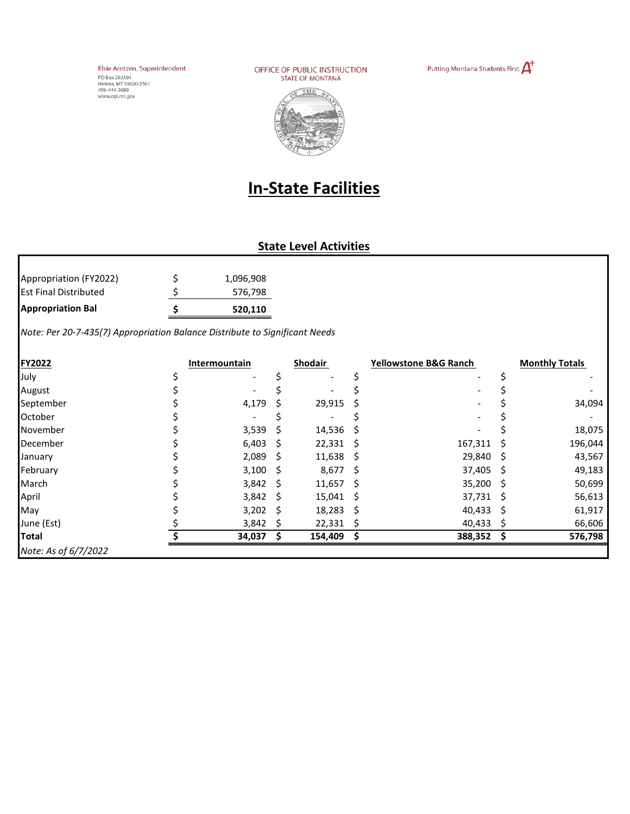Elsie Arntzen, Superintendent Erste Arritzert, Super<br>PO Box 202501<br>Helena, MT 59620-2501<br>406-444-3680<br>www.opi.mt.gov

OFFICE OF PUBLIC INSTRUCTION **STATE OF MONTANA** 





## **In-State Facilities**

## **State Level Activities**

| <b>Appropriation Bal</b>     |   | 520.110   |
|------------------------------|---|-----------|
| <b>Est Final Distributed</b> |   | 576,798   |
| Appropriation (FY2022)       | Ś | 1,096,908 |

*Note: Per 20-7-435(7) Appropriation Balance Distribute to Significant Needs* 

| <b>FY2022</b>        | Intermountain |              | <b>Shodair</b>   |    | <b>Yellowstone B&amp;G Ranch</b> |     | <b>Monthly Totals</b> |
|----------------------|---------------|--------------|------------------|----|----------------------------------|-----|-----------------------|
| July                 |               |              |                  |    |                                  |     |                       |
| August               |               |              |                  |    |                                  |     |                       |
| September            | 4,179         |              | 29,915           | S. |                                  |     | 34,094                |
| October              |               |              |                  |    |                                  |     |                       |
| November             | 3,539         | <sub>S</sub> | $14,536$ \$      |    |                                  |     | 18,075                |
| December             | $6,403$ \$    |              | $22,331$ \$      |    | 167,311                          | - S | 196,044               |
| January              | $2,089$ \$    |              | $11,638$ \$      |    | 29,840                           | - S | 43,567                |
| February             | $3,100$ \$    |              | $8,677$ \$       |    | 37,405                           | - S | 49,183                |
| March                | $3,842$ \$    |              | $11,657$ \$      |    | 35,200                           | - S | 50,699                |
| April                | 3,842         | -S           | $15,041 \quad $$ |    | 37,731 \$                        |     | 56,613                |
| May                  | $3,202$ \$    |              | $18,283$ \$      |    | 40,433                           | - S | 61,917                |
| June (Est)           | 3,842         |              | $22,331$ \$      |    | 40,433                           | - S | 66,606                |
| <b>Total</b>         | 34,037        |              | 154,409          |    | 388,352                          |     | 576,798               |
| Note: As of 6/7/2022 |               |              |                  |    |                                  |     |                       |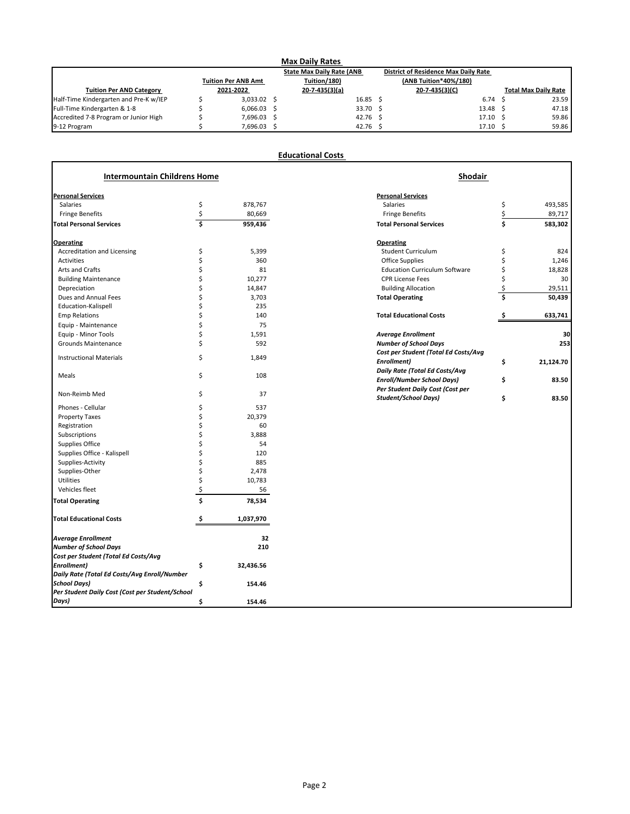| <b>Max Daily Rates</b>                 |  |                            |  |                                  |  |                                             |  |                             |
|----------------------------------------|--|----------------------------|--|----------------------------------|--|---------------------------------------------|--|-----------------------------|
|                                        |  |                            |  | <b>State Max Daily Rate (ANB</b> |  | <b>District of Residence Max Daily Rate</b> |  |                             |
|                                        |  | <b>Tuition Per ANB Amt</b> |  | Tuition/180)                     |  | (ANB Tuition*40%/180)                       |  |                             |
| <b>Tuition Per AND Category</b>        |  | 2021-2022                  |  | $20 - 7 - 435(3)(a)$             |  | $20 - 7 - 435(3)(C)$                        |  | <b>Total Max Daily Rate</b> |
| Half-Time Kindergarten and Pre-K w/IEP |  | $3,033.02$ \$              |  | $16.85 \quad$ \$                 |  | 6.74                                        |  | 23.59                       |
| Full-Time Kindergarten & 1-8           |  | $6,066.03$ \$              |  | $33.70\frac{1}{2}$               |  | 13.48                                       |  | 47.18                       |
| Accredited 7-8 Program or Junior High  |  | 7,696.03 \$                |  | 42.76 \$                         |  | 17.10                                       |  | 59.86                       |
| 9-12 Program                           |  | 7,696.03                   |  | $42.76$ \$                       |  | 17.10                                       |  | 59.86                       |

|                                     |                    | <b>Educational Costs</b> |                                       |                 |
|-------------------------------------|--------------------|--------------------------|---------------------------------------|-----------------|
| <b>Intermountain Childrens Home</b> |                    |                          | <b>Shodair</b>                        |                 |
| <b>Personal Services</b>            |                    |                          | <b>Personal Services</b>              |                 |
| <b>Salaries</b>                     | \$                 | 878,767                  | <b>Salaries</b>                       | \$<br>493,585   |
| <b>Fringe Benefits</b>              | \$                 | 80,669                   | <b>Fringe Benefits</b>                | 89,717          |
| <b>Total Personal Services</b>      | $\mathsf{\hat{S}}$ | 959,436                  | <b>Total Personal Services</b>        | \$<br>583,302   |
| <b>Operating</b>                    |                    |                          | <b>Operating</b>                      |                 |
| <b>Accreditation and Licensing</b>  | \$                 | 5,399                    | <b>Student Curriculum</b>             | \$<br>824       |
| Activities                          |                    | 360                      | <b>Office Supplies</b>                | 1,246           |
| Arts and Crafts                     |                    | 81                       | <b>Education Curriculum Software</b>  | 18,828          |
| <b>Building Maintenance</b>         |                    | 10,277                   | <b>CPR License Fees</b>               | 30              |
| Depreciation                        |                    | 14,847                   | <b>Building Allocation</b>            | 29,511          |
| Dues and Annual Fees                |                    | 3,703                    | <b>Total Operating</b>                | \$<br>50,439    |
| Education-Kalispell                 |                    | 235                      |                                       |                 |
| <b>Emp Relations</b>                |                    | 140                      | <b>Total Educational Costs</b>        | 633,741         |
| Equip - Maintenance                 |                    | 75                       |                                       |                 |
| Equip - Minor Tools                 |                    | 1,591                    | <b>Average Enrollment</b>             | 30              |
| <b>Grounds Maintenance</b>          |                    | 592                      | <b>Number of School Days</b>          | 253             |
|                                     |                    |                          | Cost per Student (Total Ed Costs/Avg  |                 |
| <b>Instructional Materials</b>      | \$                 | 1,849                    | Enrollment)                           | \$<br>21,124.70 |
|                                     |                    |                          | <b>Daily Rate (Total Ed Costs/Avg</b> |                 |
| Meals                               | \$                 | 108                      | <b>Enroll/Number School Days)</b>     | \$<br>83.50     |
|                                     |                    |                          | Per Student Daily Cost (Cost per      |                 |
| Non-Reimb Med                       | \$                 | 37                       | <b>Student/School Days)</b>           | \$<br>83.50     |
| Phones - Cellular                   |                    | 537                      |                                       |                 |
| <b>Property Taxes</b>               |                    | 20,379                   |                                       |                 |
| Registration                        |                    | 60                       |                                       |                 |
| Subscriptions                       |                    | 3,888                    |                                       |                 |
| <b>Supplies Office</b>              |                    | 54                       |                                       |                 |

| Supplies-Activity                               |   | 885       |
|-------------------------------------------------|---|-----------|
| Supplies-Other                                  |   | 2,478     |
| <b>Utilities</b>                                |   | 10,783    |
| Vehicles fleet                                  |   | 56        |
| <b>Total Operating</b>                          |   | 78,534    |
| <b>Total Educational Costs</b>                  |   | 1,037,970 |
| <b>Average Enrollment</b>                       |   | 32        |
| <b>Number of School Days</b>                    |   | 210       |
| Cost per Student (Total Ed Costs/Avg            |   |           |
| <b>Enrollment</b> )                             | Ś | 32,436.56 |
| Daily Rate (Total Ed Costs/Avg Enroll/Number    |   |           |
| <b>School Days)</b>                             |   | 154.46    |
| Per Student Daily Cost (Cost per Student/School |   |           |
| Days)                                           |   | 154.46    |

Supplies Office - Kalispell 5<br>
Supplies-Activity 5<br>
Supplies - Activity 5<br>
Supplies - Activity 5<br>
Supplies - Activity 5<br>
Supplies - Activity 5<br>
Supplies - Activity 5<br>
Supplies - Activity 5<br>
Supplies - Activity 5<br>
Supplies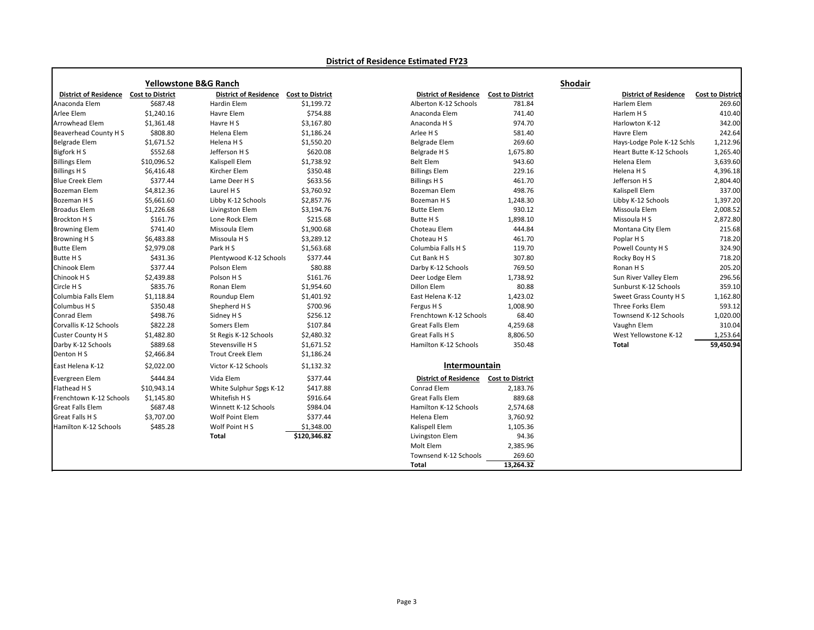|                              |                         | <b>Yellowstone B&amp;G Ranch</b> |                         |                              |                         | <b>Shodair</b>               |                         |
|------------------------------|-------------------------|----------------------------------|-------------------------|------------------------------|-------------------------|------------------------------|-------------------------|
| <b>District of Residence</b> | <b>Cost to District</b> | <b>District of Residence</b>     | <b>Cost to District</b> | <b>District of Residence</b> | <b>Cost to District</b> | <b>District of Residence</b> | <b>Cost to District</b> |
| Anaconda Elem                | \$687.48                | Hardin Elem                      | \$1,199.72              | Alberton K-12 Schools        | 781.84                  | Harlem Elem                  | 269.60                  |
| Arlee Elem                   | \$1,240.16              | Havre Elem                       | \$754.88                | Anaconda Elem                | 741.40                  | Harlem H S                   | 410.40                  |
| Arrowhead Elem               | \$1,361.48              | Havre H S                        | \$3,167.80              | Anaconda H S                 | 974.70                  | Harlowton K-12               | 342.00                  |
| Beaverhead County H S        | \$808.80                | Helena Elem                      | \$1,186.24              | Arlee H S                    | 581.40                  | Havre Elem                   | 242.64                  |
| Belgrade Elem                | \$1,671.52              | Helena H S                       | \$1,550.20              | Belgrade Elem                | 269.60                  | Hays-Lodge Pole K-12 Schls   | 1,212.96                |
| Bigfork H S                  | \$552.68                | Jefferson H S                    | \$620.08                | Belgrade H S                 | 1,675.80                | Heart Butte K-12 Schools     | 1,265.40                |
| <b>Billings Elem</b>         | \$10,096.52             | Kalispell Elem                   | \$1,738.92              | <b>Belt Elem</b>             | 943.60                  | Helena Elem                  | 3,639.60                |
| <b>Billings H S</b>          | \$6,416.48              | Kircher Elem                     | \$350.48                | <b>Billings Elem</b>         | 229.16                  | Helena H S                   | 4,396.18                |
| <b>Blue Creek Elem</b>       | \$377.44                | Lame Deer H S                    | \$633.56                | Billings H S                 | 461.70                  | Jefferson H S                | 2,804.40                |
| <b>Bozeman Elem</b>          | \$4,812.36              | Laurel H S                       | \$3,760.92              | Bozeman Elem                 | 498.76                  | Kalispell Elem               | 337.00                  |
| Bozeman H S                  | \$5,661.60              | Libby K-12 Schools               | \$2,857.76              | Bozeman H S                  | 1,248.30                | Libby K-12 Schools           | 1,397.20                |
| <b>Broadus Elem</b>          | \$1,226.68              | Livingston Elem                  | \$3,194.76              | <b>Butte Elem</b>            | 930.12                  | Missoula Elem                | 2,008.52                |
| Brockton H S                 | \$161.76                | Lone Rock Elem                   | \$215.68                | Butte H S                    | 1,898.10                | Missoula H S                 | 2,872.80                |
| <b>Browning Elem</b>         | \$741.40                | Missoula Elem                    | \$1,900.68              | Choteau Elem                 | 444.84                  | Montana City Elem            | 215.68                  |
| <b>Browning HS</b>           | \$6,483.88              | Missoula H S                     | \$3,289.12              | Choteau H S                  | 461.70                  | Poplar H S                   | 718.20                  |
| <b>Butte Elem</b>            | \$2,979.08              | Park H S                         | \$1,563.68              | Columbia Falls H S           | 119.70                  | Powell County H S            | 324.90                  |
| <b>Butte HS</b>              | \$431.36                | Plentywood K-12 Schools          | \$377.44                | Cut Bank H S                 | 307.80                  | Rocky Boy H S                | 718.20                  |
| Chinook Elem                 | \$377.44                | Polson Elem                      | \$80.88                 | Darby K-12 Schools           | 769.50                  | Ronan H S                    | 205.20                  |
| Chinook H S                  | \$2,439.88              | Polson H S                       | \$161.76                | Deer Lodge Elem              | 1,738.92                | Sun River Valley Elem        | 296.56                  |
| Circle H S                   | \$835.76                | Ronan Elem                       | \$1,954.60              | Dillon Elem                  | 80.88                   | Sunburst K-12 Schools        | 359.10                  |
| Columbia Falls Elem          | \$1,118.84              | Roundup Elem                     | \$1,401.92              | East Helena K-12             | 1,423.02                | Sweet Grass County H S       | 1,162.80                |
| Columbus H S                 | \$350.48                | Shepherd H S                     | \$700.96                | Fergus H S                   | 1,008.90                | Three Forks Elem             | 593.12                  |
| Conrad Elem                  | \$498.76                | Sidney H S                       | \$256.12                | Frenchtown K-12 Schools      | 68.40                   | Townsend K-12 Schools        | 1,020.00                |
| Corvallis K-12 Schools       | \$822.28                | Somers Elem                      | \$107.84                | <b>Great Falls Elem</b>      | 4,259.68                | Vaughn Elem                  | 310.04                  |
| <b>Custer County H S</b>     | \$1,482.80              | St Regis K-12 Schools            | \$2,480.32              | Great Falls H S              | 8,806.50                | West Yellowstone K-12        | 1,253.64                |
| Darby K-12 Schools           | \$889.68                | Stevensville H S                 | \$1,671.52              | Hamilton K-12 Schools        | 350.48                  | <b>Total</b>                 | 59,450.94               |
| Denton HS                    | \$2,466.84              | <b>Trout Creek Elem</b>          | \$1,186.24              |                              |                         |                              |                         |
| East Helena K-12             | \$2,022.00              | Victor K-12 Schools              | \$1,132.32              | Intermountain                |                         |                              |                         |
| Evergreen Elem               | \$444.84                | Vida Elem                        | \$377.44                | <b>District of Residence</b> | <b>Cost to District</b> |                              |                         |
| Flathead H S                 | \$10,943.14             | White Sulphur Spgs K-12          | \$417.88                | Conrad Elem                  | 2,183.76                |                              |                         |
| Frenchtown K-12 Schools      | \$1,145.80              | Whitefish H S                    | \$916.64                | <b>Great Falls Elem</b>      | 889.68                  |                              |                         |
| Great Falls Elem             | \$687.48                | Winnett K-12 Schools             | \$984.04                | Hamilton K-12 Schools        | 2,574.68                |                              |                         |
| Great Falls H S              | \$3,707.00              | Wolf Point Elem                  | \$377.44                | Helena Elem                  | 3,760.92                |                              |                         |
| Hamilton K-12 Schools        | \$485.28                | Wolf Point H S                   | \$1,348.00              | Kalispell Elem               | 1,105.36                |                              |                         |
|                              |                         | <b>Total</b>                     | \$120,346.82            | Livingston Elem              | 94.36                   |                              |                         |
|                              |                         |                                  |                         | Molt Elem                    | 2,385.96                |                              |                         |
|                              |                         |                                  |                         | Townsend K-12 Schools        | 269.60                  |                              |                         |
|                              |                         |                                  |                         | <b>Total</b>                 | 13,264.32               |                              |                         |

## **District of Residence Estimated FY23**

| <b>District of Residence</b>    | <b>Cost to District</b> |
|---------------------------------|-------------------------|
| Harlem Elem                     | 269.60                  |
| Harlem H S                      | 410.40                  |
| Harlowton K-12                  | 342.00                  |
| <b>Havre Elem</b>               | 242.64                  |
| Hays-Lodge Pole K-12 Schls      | 1,212.96                |
| <b>Heart Butte K-12 Schools</b> | 1,265.40                |
| Helena Elem                     | 3,639.60                |
| Helena H S                      | 4,396.18                |
| Jefferson H S                   | 2,804.40                |
| Kalispell Elem                  | 337.00                  |
| Libby K-12 Schools              | 1,397.20                |
| Missoula Elem                   | 2,008.52                |
| Missoula H S                    | 2,872.80                |
| Montana City Elem               | 215.68                  |
| Poplar H S                      | 718.20                  |
| Powell County H S               | 324.90                  |
| Rocky Boy H S                   | 718.20                  |
| Ronan H S                       | 205.20                  |
| Sun River Valley Elem           | 296.56                  |
| Sunburst K-12 Schools           | 359.10                  |
| Sweet Grass County H S          | 1,162.80                |
| Three Forks Elem                | 593.12                  |
| Townsend K-12 Schools           | 1,020.00                |
| Vaughn Elem                     | 310.04                  |
| West Yellowstone K-12           | 1,253.64                |
| <b>Total</b>                    | 59,450.94               |
|                                 |                         |